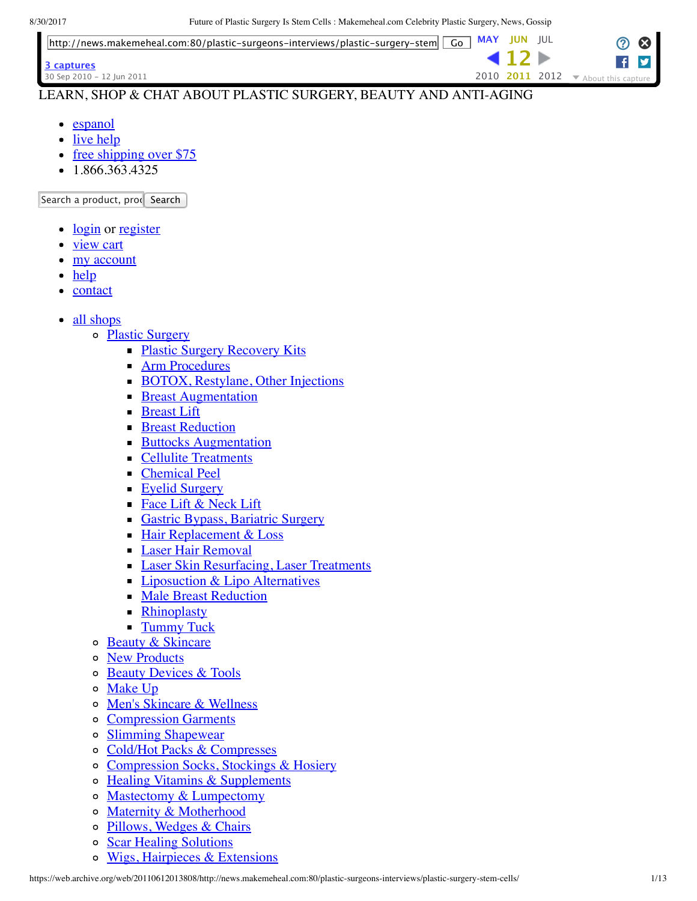

### LEARN, SHOP & CHAT ABOUT PLASTIC SURGERY, BEAUTY AND ANTI-AGING

- [espanol](https://web.archive.org/web/20110612013808/http://espanol.makemeheal.com/)
- [live help](https://web.archive.org/web/20110612013808/http://www.makemeheal.com/contactus)
- [free shipping over \\$75](https://web.archive.org/web/20110612013808/http://www.makemeheal.com/mmh/help/shipping/free/index.vm)
- $-1.866.363.4325$

Search a product, prodesearch

- [login](https://web.archive.org/web/20110612013808/http://www.makemeheal.com/mmh/login/login.do) or [register](https://web.archive.org/web/20110612013808/http://www.makemeheal.com/mmh/register.do)
- [view cart](https://web.archive.org/web/20110612013808/http://www.makemeheal.com/mmh/cart.do)
- [my account](https://web.archive.org/web/20110612013808/http://www.makemeheal.com/mmh/member/myaccount.do)
- [help](https://web.archive.org/web/20110612013808/http://www.makemeheal.com/mmh/help/index.vm)
- [contact](https://web.archive.org/web/20110612013808/http://www.makemeheal.com/contactus)
- all shops
	- o [Plastic Surgery](https://web.archive.org/web/20110612013808/http://www.makemeheal.com/mmh/product/index.vm)
		- **[Plastic Surgery Recovery Kits](https://web.archive.org/web/20110612013808/http://www.makemeheal.com/mmh/product/kits/index.vm)**
		- **[Arm Procedures](https://web.archive.org/web/20110612013808/http://www.makemeheal.com/mmh/product/arm_procedure/index.vm)**
		- **[BOTOX, Restylane, Other Injections](https://web.archive.org/web/20110612013808/http://www.makemeheal.com/mmh/product/botox/index.vm)**
		- **[Breast Augmentation](https://web.archive.org/web/20110612013808/http://www.makemeheal.com/mmh/product/breastaugmentation/index.vm)**
		- **[Breast Lift](https://web.archive.org/web/20110612013808/http://www.makemeheal.com/mmh/product/breast_lift/index.vm)**
		- **[Breast Reduction](https://web.archive.org/web/20110612013808/http://www.makemeheal.com/mmh/product/breastreduction/index.vm)**
		- **[Buttocks Augmentation](https://web.archive.org/web/20110612013808/http://www.makemeheal.com/mmh/product/buttock_augmentation/index.vm)**
		- [Cellulite Treatments](https://web.archive.org/web/20110612013808/http://www.makemeheal.com/mmh/product/cellulite/index.vm)
		- **[Chemical Peel](https://web.archive.org/web/20110612013808/http://www.makemeheal.com/mmh/product/chemicalpeel/index.vm)**
		- **[Eyelid Surgery](https://web.archive.org/web/20110612013808/http://www.makemeheal.com/mmh/product/eyelidsurgery/index.vm)**
		- [Face Lift & Neck Lift](https://web.archive.org/web/20110612013808/http://www.makemeheal.com/mmh/product/facelift/index.vm)
		- [Gastric Bypass, Bariatric Surgery](https://web.archive.org/web/20110612013808/http://www.makemeheal.com/mmh/product/bariatric_gastric_bypass_surgery/index.vm)
		- [Hair Replacement & Loss](https://web.archive.org/web/20110612013808/http://www.makemeheal.com/mmh/product/hair_transplant/index.vm)
		- **[Laser Hair Removal](https://web.archive.org/web/20110612013808/http://www.makemeheal.com/mmh/product/laser_hair_removal/index.vm)**
		- **[Laser Skin Resurfacing, Laser Treatments](https://web.archive.org/web/20110612013808/http://www.makemeheal.com/mmh/product/laserskinresurfacing/index.vm)**
		- **[Liposuction & Lipo Alternatives](https://web.archive.org/web/20110612013808/http://www.makemeheal.com/mmh/product/liposuction/index.vm)**
		- **[Male Breast Reduction](https://web.archive.org/web/20110612013808/http://www.makemeheal.com/mmh/product/gynecomastia/index.vm)**
		- **[Rhinoplasty](https://web.archive.org/web/20110612013808/http://www.makemeheal.com/mmh/product/rhinoplasty/index.vm)**
		- **[Tummy Tuck](https://web.archive.org/web/20110612013808/http://www.makemeheal.com/mmh/product/tummytuck/index.vm)**
	- **[Beauty & Skincare](https://web.archive.org/web/20110612013808/http://www.makemeheal.com/mmh/product/beauty/index.vm)**
	- o [New Products](https://web.archive.org/web/20110612013808/http://www.makemeheal.com/mmh/product/whats_new/index.vm)
	- [Beauty Devices & Tools](https://web.archive.org/web/20110612013808/http://www.makemeheal.com/mmh/product/devices/index.vm)
	- [Make Up](https://web.archive.org/web/20110612013808/http://www.makemeheal.com/mmh/product/makeup/index.vm)  $\circ$
	- [Men's Skincare & Wellness](https://web.archive.org/web/20110612013808/http://www.makemeheal.com/mmh/product/man_skin/index.vm)  $\circ$
	- [Compression Garments](https://web.archive.org/web/20110612013808/http://www.makemeheal.com/mmh/product/compression_garments/index.vm)  $\circ$
	- [Slimming Shapewear](https://web.archive.org/web/20110612013808/http://www.makemeheal.com/mmh/product/shapewear/index.vm)  $\circ$
	- [Cold/Hot Packs & Compresses](https://web.archive.org/web/20110612013808/http://www.makemeheal.com/mmh/product/therapy/index.vm)  $\circ$
	- [Compression Socks, Stockings & Hosiery](https://web.archive.org/web/20110612013808/http://www.makemeheal.com/mmh/product/compression_stocking/index.vm) o
	- [Healing Vitamins & Supplements](https://web.archive.org/web/20110612013808/http://www.makemeheal.com/mmh/product/vitamins_supplements/index.vm)  $\circ$
	- [Mastectomy & Lumpectomy](https://web.archive.org/web/20110612013808/http://www.makemeheal.com/mmh/product/mastectomy/index.vm)  $\circ$
	- [Maternity & Motherhood](https://web.archive.org/web/20110612013808/http://www.makemeheal.com/mmh/product/maternity/index.vm)  $\circ$
	- [Pillows, Wedges & Chairs](https://web.archive.org/web/20110612013808/http://www.makemeheal.com/mmh/product/pillow/index.vm)  $\circ$
	- [Scar Healing Solutions](https://web.archive.org/web/20110612013808/http://www.makemeheal.com/mmh/product/scar_reduction/index.vm)  $\circ$
	- [Wigs, Hairpieces & Extensions](https://web.archive.org/web/20110612013808/http://www.makemeheal.com/mmh/product/wigs/index.vm)  $\circ$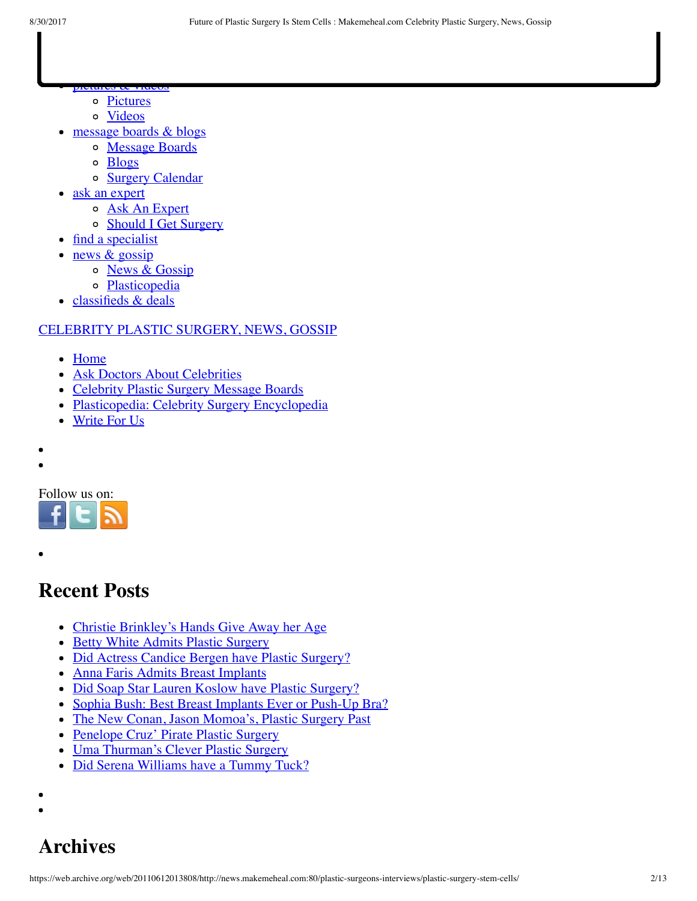- pictures & videos [Pictures](https://web.archive.org/web/20110612013808/http://www.makemeheal.com/pictures)
	- [Videos](https://web.archive.org/web/20110612013808/http://www.makemeheal.com/videos)
- message boards & blogs
	- [Message Boards](https://web.archive.org/web/20110612013808/http://messageboards.makemeheal.com/)
	- [Blogs](https://web.archive.org/web/20110612013808/http://messageboards.makemeheal.com/weblogs.php)
	- o [Surgery Calendar](https://web.archive.org/web/20110612013808/http://www.makemeheal.com/calendar)
- ask an expert
	- o [Ask An Expert](https://web.archive.org/web/20110612013808/http://www.makemeheal.com/answers)
	- o [Should I Get Surgery](https://web.archive.org/web/20110612013808/http://www.makemeheal.com/voting)
- [find a specialist](https://web.archive.org/web/20110612013808/http://www.makemeheal.com/directory)
- news & gossip
	- o [News & Gossip](https://web.archive.org/web/20110612013808/http://news.makemeheal.com/)
	- o [Plasticopedia](https://web.archive.org/web/20110612013808/http://education.makemeheal.com/)
- [classifieds & deals](https://web.archive.org/web/20110612013808/http://www.makemeheal.com/classifieds)

### [CELEBRITY PLASTIC SURGERY, NEWS, GOSSIP](https://web.archive.org/web/20110612013808/http://news.makemeheal.com/)

- [Home](https://web.archive.org/web/20110612013808/http://news.makemeheal.com/)
- [Ask Doctors About Celebrities](https://web.archive.org/web/20110612013808/http://news.makemeheal.com/ask-doctors-celebrity-plastic-surgery/)
- [Celebrity Plastic Surgery Message Boards](https://web.archive.org/web/20110612013808/http://news.makemeheal.com/celebrity-plastic-surgery-message-boards/)
- [Plasticopedia: Celebrity Surgery Encyclopedia](https://web.archive.org/web/20110612013808/http://news.makemeheal.com/celebrity-plastic-surgery-encyclopedia/)
- [Write For Us](https://web.archive.org/web/20110612013808/http://news.makemeheal.com/plastic-surgery-writers/)

Follow us on:



## **Recent Posts**

- [Christie Brinkley's Hands Give Away her Age](https://web.archive.org/web/20110612013808/http://news.makemeheal.com/celebrity-plastic-surgery/christie-brinkleys-hands-give-away-her-age/)  $\bullet$
- **[Betty White Admits Plastic Surgery](https://web.archive.org/web/20110612013808/http://news.makemeheal.com/celebrity-plastic-surgery/betty-white-admits-plastic-surgery/)**
- [Did Actress Candice Bergen have Plastic Surgery?](https://web.archive.org/web/20110612013808/http://news.makemeheal.com/celebrity-plastic-surgery/did-actress-candice-bergen-have-plastic-surgery/)
- [Anna Faris Admits Breast Implants](https://web.archive.org/web/20110612013808/http://news.makemeheal.com/celebrity-plastic-surgery/anna-faris-admits-breast-implants/)
- [Did Soap Star Lauren Koslow have Plastic Surgery?](https://web.archive.org/web/20110612013808/http://news.makemeheal.com/celebrity-plastic-surgery/lauren-koslow-plastic-surgery/)  $\bullet$
- [Sophia Bush: Best Breast Implants Ever or Push-Up Bra?](https://web.archive.org/web/20110612013808/http://news.makemeheal.com/celebrity-plastic-surgery/sophia-bush-best-breast-implants-ever-or-push-up-bra/)  $\bullet$
- [The New Conan, Jason Momoa's, Plastic Surgery Past](https://web.archive.org/web/20110612013808/http://news.makemeheal.com/celebrity-plastic-surgery/jason-momoas-plastic-surgery/)  $\bullet$
- [Penelope Cruz' Pirate Plastic Surgery](https://web.archive.org/web/20110612013808/http://news.makemeheal.com/celebrity-plastic-surgery/penelope-cruz-pirate-plastic-surgery/)
- [Uma Thurman's Clever Plastic Surgery](https://web.archive.org/web/20110612013808/http://news.makemeheal.com/celebrity-plastic-surgery/uma-thurmans-clever-plastic-surgery/)  $\bullet$
- [Did Serena Williams have a Tummy Tuck?](https://web.archive.org/web/20110612013808/http://news.makemeheal.com/celebrity-plastic-surgery/serena-williams-tummy-tuck/)
- 

## **Archives**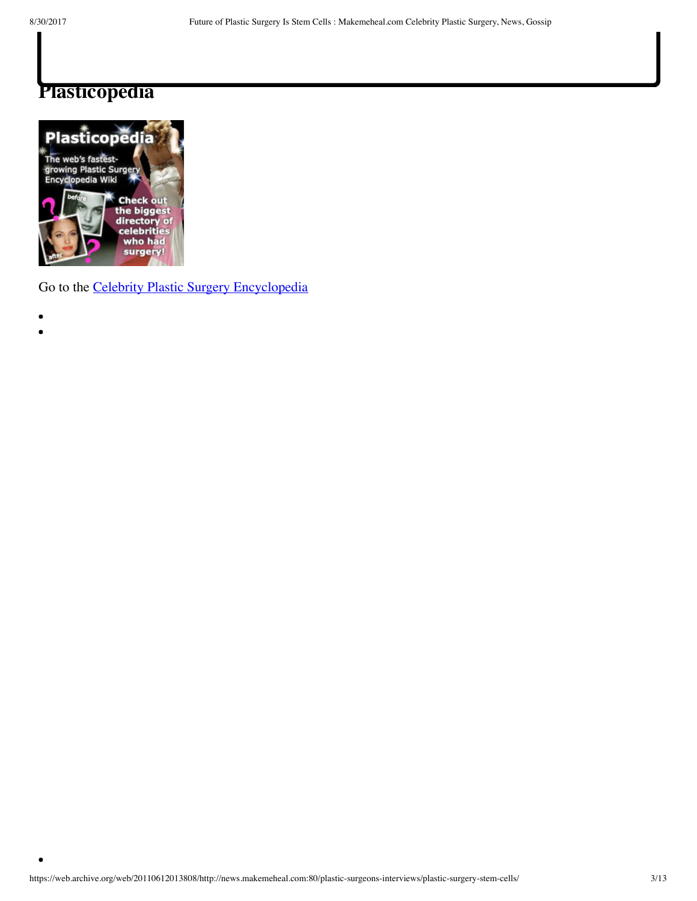$\bullet$ 

### **Plasticopedia**



Go to the [Celebrity Plastic Surgery Encyclopedia](https://web.archive.org/web/20110612013808/http://education.makemeheal.com/index.php/Category:Celebrity_Plastic_Surgery)

- 
- $\bullet$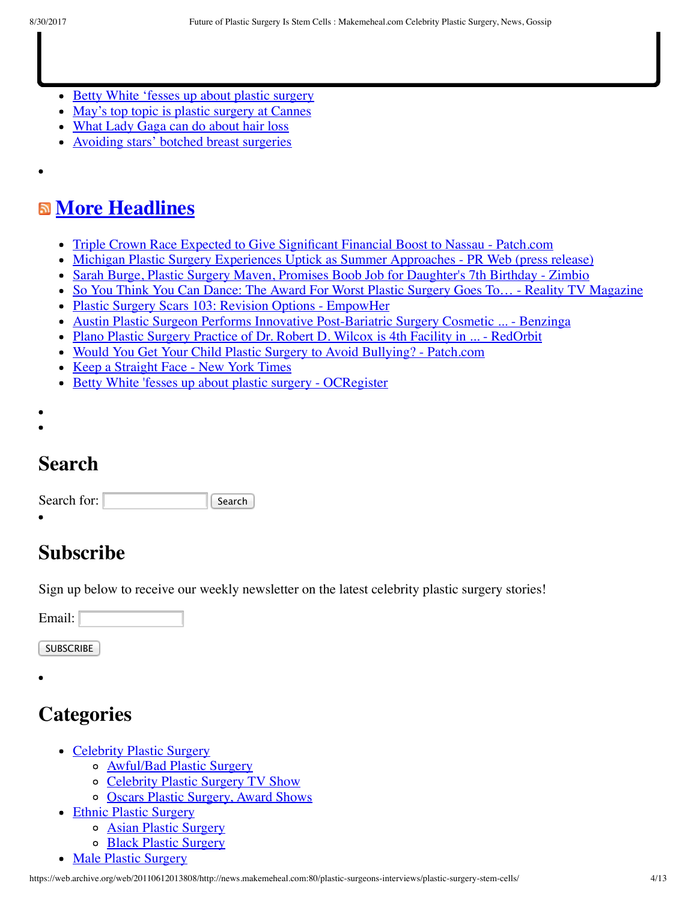[Betty White 'fesses up about plastic surgery](https://web.archive.org/web/20110612013808/http://inyourface.ocregister.com/2011/06/09/betty-white-fesses-up-about-plastic-surgery/30117/)

 $B_{\rm eff}$  bruises  $S_{\rm eff}$  bruises  $S_{\rm eff}$  bruises  $S_{\rm eff}$ 

- [May's top topic is plastic surgery at Cannes](https://web.archive.org/web/20110612013808/http://inyourface.ocregister.com/2011/06/06/mays-top-topic-is-plastic-surgery-at-cannes/30057/)
- [What Lady Gaga can do about hair loss](https://web.archive.org/web/20110612013808/http://inyourface.ocregister.com/2011/06/03/what-lady-gaga-can-do-about-hair-loss/29941/)
- [Avoiding stars' botched breast surgeries](https://web.archive.org/web/20110612013808/http://inyourface.ocregister.com/2011/06/02/avoiding-stars-botched-breast-surgeries/29745/)

## **[More Headlines](https://web.archive.org/web/20110612013808/http://news.google.com/news?ned=us&hl=en&q=%22Plastic+Surgery%22+OR+%22Cosmetic+Surgery%22+OR+%22Cosmetic+Enhancement%22+location:usa)**

- [Triple Crown Race Expected to Give Significant Financial Boost to Nassau Patch.com](https://web.archive.org/web/20110612013808/http://news.google.com/news/url?sa=t&fd=R&usg=AFQjCNE4ulLYIxRaG-q1SSWgWNCCb9A7Nw&url=http://gardencity.patch.com/articles/triple-crown-race-expected-to-give-significant-financial-boost-to-nassau)
- [Michigan Plastic Surgery Experiences Uptick as Summer Approaches PR Web \(press release\)](https://web.archive.org/web/20110612013808/http://news.google.com/news/url?sa=t&fd=R&usg=AFQjCNE80iF_jOkxfs9bI5Kn1GI070RsPQ&url=http://www.prweb.com/releases/2011/6/prweb8558722.htm)
- [Sarah Burge, Plastic Surgery Maven, Promises Boob Job for Daughter's 7th Birthday Zimbio](https://web.archive.org/web/20110612013808/http://news.google.com/news/url?sa=t&fd=R&usg=AFQjCNFTui02dzmNesrcCbAi2UIE2UHpCA&url=http://www.zimbio.com/Sarah+Burge/articles/v5VocoP9W6M/Sarah+Burge+Plastic+Surgery+Maven+Promises)
- [So You Think You Can Dance: The Award For Worst Plastic Surgery Goes To… Reality TV Magazine](https://web.archive.org/web/20110612013808/http://news.google.com/news/url?sa=t&fd=R&usg=AFQjCNHOmJaX2b4zsCUbsY1S52McjnSdRw&url=http://realitytvmagazine.sheknows.com/2011/06/10/so-you-think-you-can-dance-the-award-for-worst-plastic-surgery-goes-to/)
- [Plastic Surgery Scars 103: Revision Options EmpowHer](https://web.archive.org/web/20110612013808/http://news.google.com/news/url?sa=t&fd=R&usg=AFQjCNFhJrN_tH6ooE19lGxLizFp9akSPA&url=http://www.empowher.com/beauty/content/plastic-surgery-scars-103-revision-options)
- [Austin Plastic Surgeon Performs Innovative Post-Bariatric Surgery Cosmetic ... Benzinga](https://web.archive.org/web/20110612013808/http://news.google.com/news/url?sa=t&fd=R&usg=AFQjCNEiJAKbf6IagwDCCSFMKu4gE0T8Sg&url=http://www.benzinga.com/press-releases/11/06/p1156418/austin-plastic-surgeon-performs-innovative-post-bariatric-surgery-cosm)
- [Plano Plastic Surgery Practice of Dr. Robert D. Wilcox is 4th Facility in ... RedOrbit](https://web.archive.org/web/20110612013808/http://news.google.com/news/url?sa=t&fd=R&usg=AFQjCNE0f3UVfxHZU1Qbr-MPlCFNcLuniQ&url=http://www.redorbit.com/news/business/2062119/plano_plastic_surgery_practice_of_dr_robert_d_wilcox_is/)
- [Would You Get Your Child Plastic Surgery to Avoid Bullying? Patch.com](https://web.archive.org/web/20110612013808/http://news.google.com/news/url?sa=t&fd=R&usg=AFQjCNGGOMultTorP77BheLybDvL7PKVKQ&url=http://coronado.patch.com/articles/would-you-get-your-child-plastic-surgery-to-avoid-bullying)
- [Keep a Straight Face New York Times](https://web.archive.org/web/20110612013808/http://news.google.com/news/url?sa=t&fd=R&usg=AFQjCNENzBS2lT0PStD-zHhoC1f9BgYa0A&url=http://www.nytimes.com/2011/06/12/fashion/when-to-discuss-cosmetic-surgery-social-qs.html)
- [Betty White 'fesses up about plastic surgery OCRegister](https://web.archive.org/web/20110612013808/http://news.google.com/news/url?sa=t&fd=R&usg=AFQjCNFkff2S2Ot4TBkkNnNYZAL9XHdrcw&url=http://www.ocregister.com/articles/betty-303698-white-plastic.html)
- 
- 

## **Search**

| Search |
|--------|
|        |

## **Subscribe**

Sign up below to receive our weekly newsletter on the latest celebrity plastic surgery stories!

Email:

**SUBSCRIBE** 

## **Categories**

- [Celebrity Plastic Surgery](https://web.archive.org/web/20110612013808/http://news.makemeheal.com/category/celebrity-plastic-surgery/)
	- [Awful/Bad Plastic Surgery](https://web.archive.org/web/20110612013808/http://news.makemeheal.com/category/celebrity-plastic-surgery/bad-plastic-surgery/)
	- o [Celebrity Plastic Surgery TV Show](https://web.archive.org/web/20110612013808/http://news.makemeheal.com/category/celebrity-plastic-surgery/videos-celebrity-plastic-surgery/)
	- [Oscars Plastic Surgery, Award Shows](https://web.archive.org/web/20110612013808/http://news.makemeheal.com/category/celebrity-plastic-surgery/oscars-grammies-awards/)
- [Ethnic Plastic Surgery](https://web.archive.org/web/20110612013808/http://news.makemeheal.com/category/ethnic/)
	- [Asian Plastic Surgery](https://web.archive.org/web/20110612013808/http://news.makemeheal.com/category/ethnic/asian-plastic-surgery/)
	- o [Black Plastic Surgery](https://web.archive.org/web/20110612013808/http://news.makemeheal.com/category/ethnic/black-plastic-surgery-ethnic-2/)
- [Male Plastic Surgery](https://web.archive.org/web/20110612013808/http://news.makemeheal.com/category/male-mens-plastic-surgery/)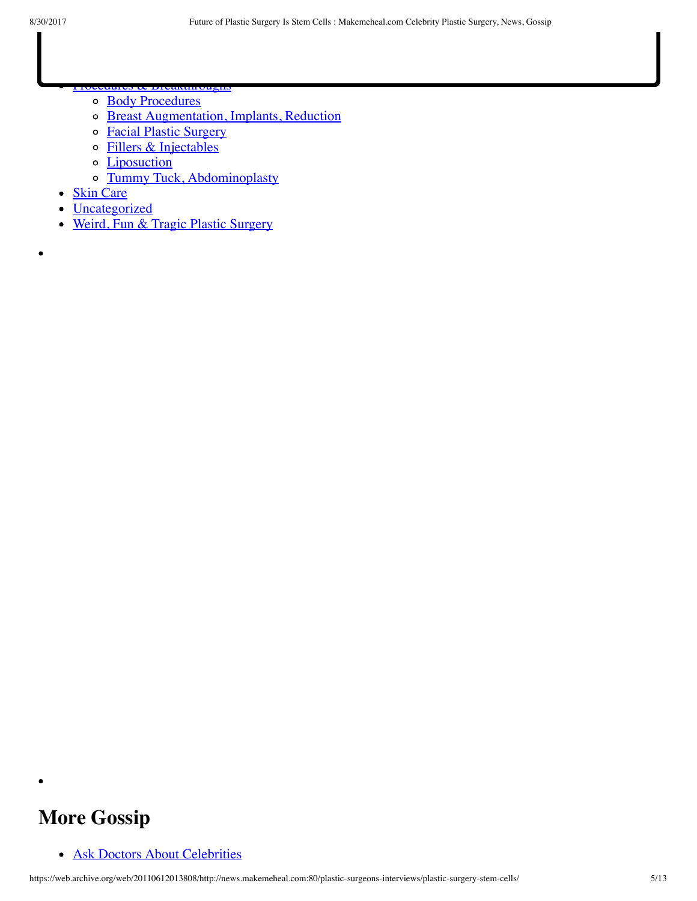- [Procedures & Breakthroughs](https://web.archive.org/web/20110612013808/http://news.makemeheal.com/category/plastic-surgery-news/) [Body Procedures](https://web.archive.org/web/20110612013808/http://news.makemeheal.com/category/plastic-surgery-news/arms-body-thighs/)  $\circ$ 
	- [Breast Augmentation, Implants, Reduction](https://web.archive.org/web/20110612013808/http://news.makemeheal.com/category/plastic-surgery-news/breast-augmentation-implants/)  $\circ$
	- [Facial Plastic Surgery](https://web.archive.org/web/20110612013808/http://news.makemeheal.com/category/plastic-surgery-news/facelift-blepharoplasty/)  $\circ$
	- [Fillers & Injectables](https://web.archive.org/web/20110612013808/http://news.makemeheal.com/category/plastic-surgery-news/fillers_injectables/)  $\circ$
	- **[Liposuction](https://web.archive.org/web/20110612013808/http://news.makemeheal.com/category/plastic-surgery-news/liposuction/)**  $\circ$
	- o [Tummy Tuck, Abdominoplasty](https://web.archive.org/web/20110612013808/http://news.makemeheal.com/category/plastic-surgery-news/tummy-tuck/)
- [Skin Care](https://web.archive.org/web/20110612013808/http://news.makemeheal.com/category/skin-care/)
- [Uncategorized](https://web.archive.org/web/20110612013808/http://news.makemeheal.com/category/cosmetic-surgery-news/)
- [Weird, Fun & Tragic Plastic Surgery](https://web.archive.org/web/20110612013808/http://news.makemeheal.com/category/strange-plastic-surgery/)

## **More Gossip**

• [Ask Doctors About Celebrities](https://web.archive.org/web/20110612013808/http://news.makemeheal.com/ask-doctors-celebrity-plastic-surgery/)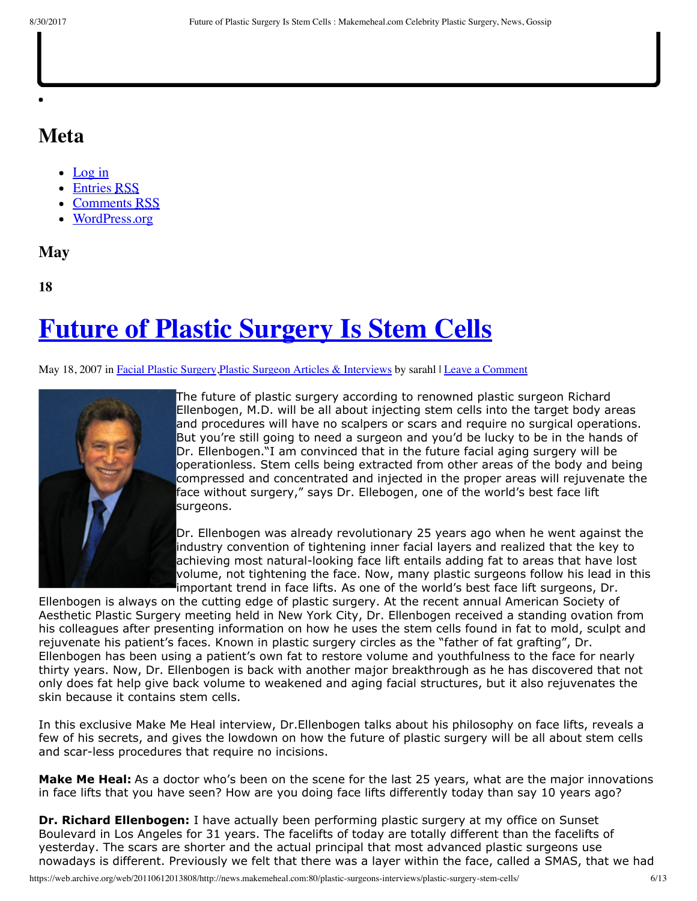### **Meta**

- [Log in](https://web.archive.org/web/20110612013808/http://news.makemeheal.com/wp-login.php)
- [Entries RSS](https://web.archive.org/web/20110612013808/http://news.makemeheal.com/feed/)
- [Comments RSS](https://web.archive.org/web/20110612013808/http://news.makemeheal.com/comments/feed/)
- [WordPress.org](https://web.archive.org/web/20110612013808/http://wordpress.org/)

### **May**

**18**

# **[Future of Plastic Surgery Is Stem Cells](https://web.archive.org/web/20110612013808/http://news.makemeheal.com/plastic-surgeons-interviews/plastic-surgery-stem-cells/)**

#### May 18, 2007 in Facial Plastic [Surgery](https://web.archive.org/web/20110612013808/http://news.makemeheal.com/category/plastic-surgery-news/facelift-blepharoplasty/), Plastic Surgeon Articles & [Interviews](https://web.archive.org/web/20110612013808/http://news.makemeheal.com/category/plastic-surgeons-interviews/) by sarahl | Leave a [Comment](https://web.archive.org/web/20110612013808/http://news.makemeheal.com/plastic-surgeons-interviews/plastic-surgery-stem-cells/#respond)



[T](https://web.archive.org/web/20110612013808/http://www.makemeheal.com/news/images/dr-richard-ellenbogen.jpg)he future of plastic surgery according to renowned plastic surgeon Richard Ellenbogen, M.D. will be all about injecting stem cells into the target body areas and procedures will have no scalpers or scars and require no surgical operations. But you're still going to need a surgeon and you'd be lucky to be in the hands of Dr. Ellenbogen."I am convinced that in the future facial aging surgery will be operationless. Stem cells being extracted from other areas of the body and being compressed and concentrated and injected in the proper areas will rejuvenate the face without surgery," says Dr. Ellebogen, one of the world's best face lift surgeons.

Dr. Ellenbogen was already revolutionary 25 years ago when he went against the industry convention of tightening inner facial layers and realized that the key to achieving most natural-looking face lift entails adding fat to areas that have lost volume, not tightening the face. Now, many plastic surgeons follow his lead in this important trend in face lifts. As one of the world's best face lift surgeons, Dr.

Ellenbogen is always on the cutting edge of plastic surgery. At the recent annual American Society of Aesthetic Plastic Surgery meeting held in New York City, Dr. Ellenbogen received a standing ovation from his colleagues after presenting information on how he uses the stem cells found in fat to mold, sculpt and rejuvenate his patient's faces. Known in plastic surgery circles as the "father of fat grafting", Dr. Ellenbogen has been using a patient's own fat to restore volume and youthfulness to the face for nearly thirty years. Now, Dr. Ellenbogen is back with another major breakthrough as he has discovered that not only does fat help give back volume to weakened and aging facial structures, but it also rejuvenates the skin because it contains stem cells.

In this exclusive Make Me Heal interview, Dr.Ellenbogen talks about his philosophy on face lifts, reveals a few of his secrets, and gives the lowdown on how the future of plastic surgery will be all about stem cells and scar-less procedures that require no incisions.

**Make Me Heal:** As a doctor who's been on the scene for the last 25 years, what are the major innovations in face lifts that you have seen? How are you doing face lifts differently today than say 10 years ago?

**Dr. Richard Ellenbogen:** I have actually been performing plastic surgery at my office on Sunset Boulevard in Los Angeles for 31 years. The facelifts of today are totally different than the facelifts of yesterday. The scars are shorter and the actual principal that most advanced plastic surgeons use nowadays is different. Previously we felt that there was a layer within the face, called a SMAS, that we had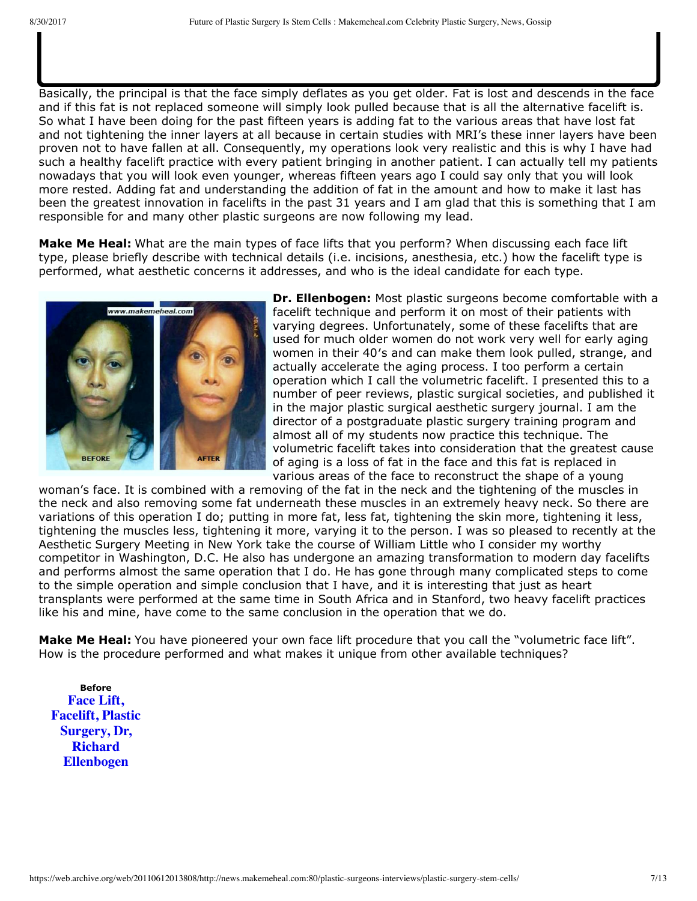Basically, the principal is that the face simply deflates as you get older. Fat is lost and descends in the face and if this fat is not replaced someone will simply look pulled because that is all the alternative facelift is. So what I have been doing for the past fifteen years is adding fat to the various areas that have lost fat and not tightening the inner layers at all because in certain studies with MRI's these inner layers have been proven not to have fallen at all. Consequently, my operations look very realistic and this is why I have had such a healthy facelift practice with every patient bringing in another patient. I can actually tell my patients nowadays that you will look even younger, whereas fifteen years ago I could say only that you will look more rested. Adding fat and understanding the addition of fat in the amount and how to make it last has been the greatest innovation in facelifts in the past 31 years and I am glad that this is something that I am responsible for and many other plastic surgeons are now following my lead.

to tighten, and that aging was a loss in the elasticity and the sagging of this inner part. So the operation was done in two layers. The patient had long scars, a high incidence of nerve damage, and looked quite damage, pulled, because that was all that was being done. The whole principal of aging today has changed. When I introduced this principal almost twentyfive years ago, the other doctors thought I was missing the boat.

**Make Me Heal:** What are the main types of face lifts that you perform? When discussing each face lift type, please briefly describe with technical details (i.e. incisions, anesthesia, etc.) how the facelift type is performed, what aesthetic concerns it addresses, and who is the ideal candidate for each type.



**Dr. Ellenbogen:** Most plastic surgeons become comfortable with a facelift technique and perform it on most of their patients with varying degrees. Unfortunately, some of these facelifts that are used for much older women do not work very well for early aging women in their 40′s and can make them look pulled, strange, and actually accelerate the aging process. I too perform a certain operation which I call the volumetric facelift. I presented this to a number of peer reviews, plastic surgical societies, and published it in the major plastic surgical aesthetic surgery journal. I am the director of a postgraduate plastic surgery training program and almost all of my students now practice this technique. The volumetric facelift takes into consideration that the greatest cause of aging is a loss of fat in the face and this fat is replaced in various areas of the face to reconstruct the shape of a young

woman's face. It is combined with a removing of the fat in the neck and the tightening of the muscles in the neck and also removing some fat underneath these muscles in an extremely heavy neck. So there are variations of this operation I do; putting in more fat, less fat, tightening the skin more, tightening it less, tightening the muscles less, tightening it more, varying it to the person. I was so pleased to recently at the Aesthetic Surgery Meeting in New York take the course of William Little who I consider my worthy competitor in Washington, D.C. He also has undergone an amazing transformation to modern day facelifts and performs almost the same operation that I do. He has gone through many complicated steps to come to the simple operation and simple conclusion that I have, and it is interesting that just as heart transplants were performed at the same time in South Africa and in Stanford, two heavy facelift practices like his and mine, have come to the same conclusion in the operation that we do.

**Make Me Heal:** You have pioneered your own face lift procedure that you call the "volumetric face lift". How is the procedure performed and what makes it unique from other available techniques?

**Before Face Lift, [Facelift, Plastic](https://web.archive.org/web/20110612013808/http://www.makemeheal.com/news/images/stem-cell-fat-grafting-before.jpg) Surgery, Dr, Richard Ellenbogen**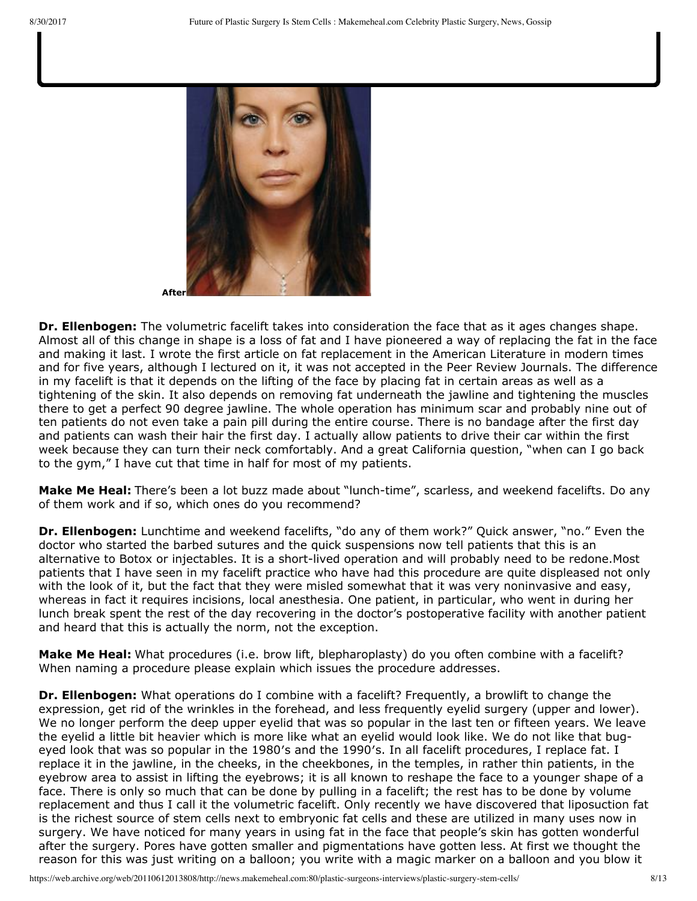

**Dr. Ellenbogen:** The volumetric facelift takes into consideration the face that as it ages changes shape. Almost all of this change in shape is a loss of fat and I have pioneered a way of replacing the fat in the face and making it last. I wrote the first article on fat replacement in the American Literature in modern times and for five years, although I lectured on it, it was not accepted in the Peer Review Journals. The difference in my facelift is that it depends on the lifting of the face by placing fat in certain areas as well as a tightening of the skin. It also depends on removing fat underneath the jawline and tightening the muscles there to get a perfect 90 degree jawline. The whole operation has minimum scar and probably nine out of ten patients do not even take a pain pill during the entire course. There is no bandage after the first day and patients can wash their hair the first day. I actually allow patients to drive their car within the first week because they can turn their neck comfortably. And a great California question, "when can I go back to the gym," I have cut that time in half for most of my patients.

**Make Me Heal:** There's been a lot buzz made about "lunch-time", scarless, and weekend facelifts. Do any of them work and if so, which ones do you recommend?

**Dr. Ellenbogen:** Lunchtime and weekend facelifts, "do any of them work?" Quick answer, "no." Even the doctor who started the barbed sutures and the quick suspensions now tell patients that this is an alternative to Botox or injectables. It is a short-lived operation and will probably need to be redone.Most patients that I have seen in my facelift practice who have had this procedure are quite displeased not only with the look of it, but the fact that they were misled somewhat that it was very noninvasive and easy, whereas in fact it requires incisions, local anesthesia. One patient, in particular, who went in during her lunch break spent the rest of the day recovering in the doctor's postoperative facility with another patient and heard that this is actually the norm, not the exception.

**Make Me Heal:** What procedures (i.e. brow lift, blepharoplasty) do you often combine with a facelift? When naming a procedure please explain which issues the procedure addresses.

**Dr. Ellenbogen:** What operations do I combine with a facelift? Frequently, a browlift to change the expression, get rid of the wrinkles in the forehead, and less frequently eyelid surgery (upper and lower). We no longer perform the deep upper eyelid that was so popular in the last ten or fifteen years. We leave the eyelid a little bit heavier which is more like what an eyelid would look like. We do not like that bugeyed look that was so popular in the 1980′s and the 1990′s. In all facelift procedures, I replace fat. I replace it in the jawline, in the cheeks, in the cheekbones, in the temples, in rather thin patients, in the eyebrow area to assist in lifting the eyebrows; it is all known to reshape the face to a younger shape of a face. There is only so much that can be done by pulling in a facelift; the rest has to be done by volume replacement and thus I call it the volumetric facelift. Only recently we have discovered that liposuction fat is the richest source of stem cells next to embryonic fat cells and these are utilized in many uses now in surgery. We have noticed for many years in using fat in the face that people's skin has gotten wonderful after the surgery. Pores have gotten smaller and pigmentations have gotten less. At first we thought the reason for this was just writing on a balloon; you write with a magic marker on a balloon and you blow it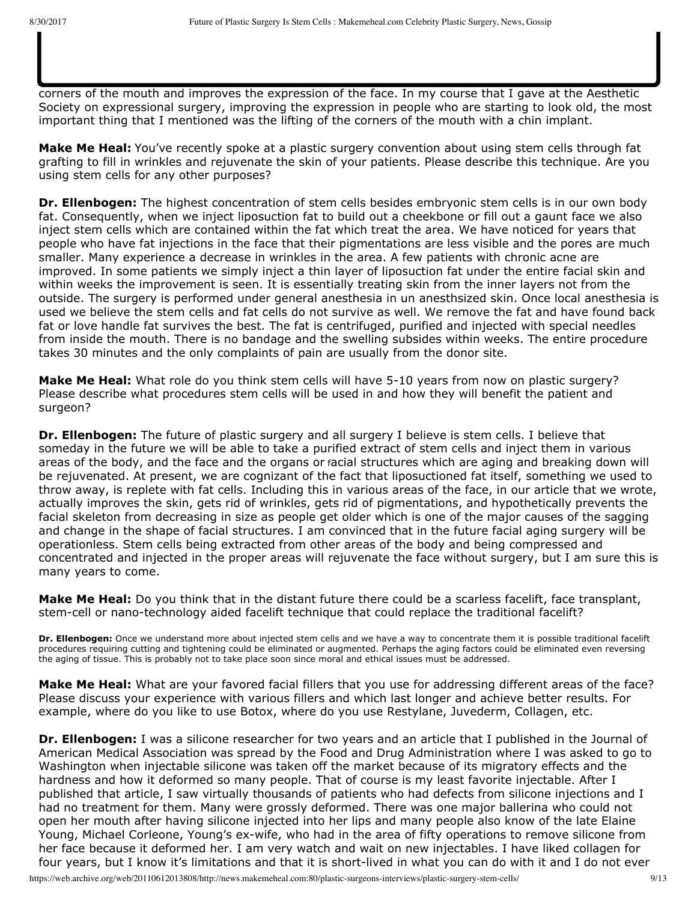corners of the mouth and improves the expression of the face. In my course that I gave at the Aesthetic Society on expressional surgery, improving the expression in people who are starting to look old, the most important thing that I mentioned was the lifting of the corners of the mouth with a chin implant.

pigmentations. A chin implant is also a very important addition to the facelift. It can be done in many cases

up and the writing gets lighter. But it is actually more than that. We biopsied various pigmentations that

have been fat grafted and there is actually a work of the stem cells in getting rid of some of these

just with fat grafting because not only does the chin implant give a strong jawline it also lifts up the

**Make Me Heal:** You've recently spoke at a plastic surgery convention about using stem cells through fat grafting to fill in wrinkles and rejuvenate the skin of your patients. Please describe this technique. Are you using stem cells for any other purposes?

**Dr. Ellenbogen:** The highest concentration of stem cells besides embryonic stem cells is in our own body fat. Consequently, when we inject liposuction fat to build out a cheekbone or fill out a gaunt face we also inject stem cells which are contained within the fat which treat the area. We have noticed for years that people who have fat injections in the face that their pigmentations are less visible and the pores are much smaller. Many experience a decrease in wrinkles in the area. A few patients with chronic acne are improved. In some patients we simply inject a thin layer of liposuction fat under the entire facial skin and within weeks the improvement is seen. It is essentially treating skin from the inner layers not from the outside. The surgery is performed under general anesthesia in un anesthsized skin. Once local anesthesia is used we believe the stem cells and fat cells do not survive as well. We remove the fat and have found back fat or love handle fat survives the best. The fat is centrifuged, purified and injected with special needles from inside the mouth. There is no bandage and the swelling subsides within weeks. The entire procedure takes 30 minutes and the only complaints of pain are usually from the donor site.

**Make Me Heal:** What role do you think stem cells will have 5-10 years from now on plastic surgery? Please describe what procedures stem cells will be used in and how they will benefit the patient and surgeon?

**Dr. Ellenbogen:** The future of plastic surgery and all surgery I believe is stem cells. I believe that someday in the future we will be able to take a purified extract of stem cells and inject them in various areas of the body, and the face and the organs or facial structures which are aging and breaking down will be rejuvenated. At present, we are cognizant of the fact that liposuctioned fat itself, something we used to throw away, is replete with fat cells. Including this in various areas of the face, in our article that we wrote, actually improves the skin, gets rid of wrinkles, gets rid of pigmentations, and hypothetically prevents the facial skeleton from decreasing in size as people get older which is one of the major causes of the sagging and change in the shape of facial structures. I am convinced that in the future facial aging surgery will be operationless. Stem cells being extracted from other areas of the body and being compressed and concentrated and injected in the proper areas will rejuvenate the face without surgery, but I am sure this is many years to come.

**Make Me Heal:** Do you think that in the distant future there could be a scarless facelift, face transplant, stem-cell or nano-technology aided facelift technique that could replace the traditional facelift?

**Dr. Ellenbogen:** Once we understand more about injected stem cells and we have a way to concentrate them it is possible traditional facelift procedures requiring cutting and tightening could be eliminated or augmented. Perhaps the aging factors could be eliminated even reversing the aging of tissue. This is probably not to take place soon since moral and ethical issues must be addressed.

**Make Me Heal:** What are your favored facial fillers that you use for addressing different areas of the face? Please discuss your experience with various fillers and which last longer and achieve better results. For example, where do you like to use Botox, where do you use Restylane, Juvederm, Collagen, etc.

**Dr. Ellenbogen:** I was a silicone researcher for two years and an article that I published in the Journal of American Medical Association was spread by the Food and Drug Administration where I was asked to go to Washington when injectable silicone was taken off the market because of its migratory effects and the hardness and how it deformed so many people. That of course is my least favorite injectable. After I published that article, I saw virtually thousands of patients who had defects from silicone injections and I had no treatment for them. Many were grossly deformed. There was one major ballerina who could not open her mouth after having silicone injected into her lips and many people also know of the late Elaine Young, Michael Corleone, Young's ex-wife, who had in the area of fifty operations to remove silicone from her face because it deformed her. I am very watch and wait on new injectables. I have liked collagen for four years, but I know it's limitations and that it is short-lived in what you can do with it and I do not ever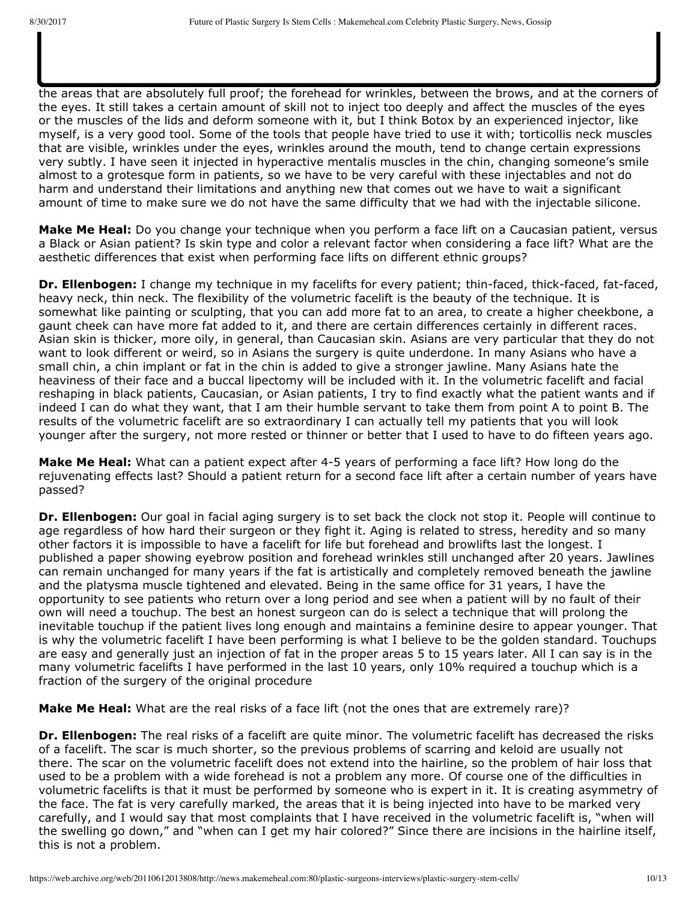injecting these things and I am totally cognizant that some doctors do it better than others. Botox I like in the areas that are absolutely full proof; the forehead for wrinkles, between the brows, and at the corners of the eyes. It still takes a certain amount of skill not to inject too deeply and affect the muscles of the eyes or the muscles of the lids and deform someone with it, but I think Botox by an experienced injector, like myself, is a very good tool. Some of the tools that people have tried to use it with; torticollis neck muscles that are visible, wrinkles under the eyes, wrinkles around the mouth, tend to change certain expressions very subtly. I have seen it injected in hyperactive mentalis muscles in the chin, changing someone's smile almost to a grotesque form in patients, so we have to be very careful with these injectables and not do harm and understand their limitations and anything new that comes out we have to wait a significant amount of time to make sure we do not have the same difficulty that we had with the injectable silicone.

try to use it to do more than I know that it can do. The newer injectables, such as JuveDerm and

Restylane; I have seen their results and it is quite striking and they are longer lasting than collagen and they do hurt a little more and some have been felt to be somewhat hard, but there is a certain skill in

**Make Me Heal:** Do you change your technique when you perform a face lift on a Caucasian patient, versus a Black or Asian patient? Is skin type and color a relevant factor when considering a face lift? What are the aesthetic differences that exist when performing face lifts on different ethnic groups?

**Dr. Ellenbogen:** I change my technique in my facelifts for every patient; thin-faced, thick-faced, fat-faced, heavy neck, thin neck. The flexibility of the volumetric facelift is the beauty of the technique. It is somewhat like painting or sculpting, that you can add more fat to an area, to create a higher cheekbone, a gaunt cheek can have more fat added to it, and there are certain differences certainly in different races. Asian skin is thicker, more oily, in general, than Caucasian skin. Asians are very particular that they do not want to look different or weird, so in Asians the surgery is quite underdone. In many Asians who have a small chin, a chin implant or fat in the chin is added to give a stronger jawline. Many Asians hate the heaviness of their face and a buccal lipectomy will be included with it. In the volumetric facelift and facial reshaping in black patients, Caucasian, or Asian patients, I try to find exactly what the patient wants and if indeed I can do what they want, that I am their humble servant to take them from point A to point B. The results of the volumetric facelift are so extraordinary I can actually tell my patients that you will look younger after the surgery, not more rested or thinner or better that I used to have to do fifteen years ago.

**Make Me Heal:** What can a patient expect after 4-5 years of performing a face lift? How long do the rejuvenating effects last? Should a patient return for a second face lift after a certain number of years have passed?

**Dr. Ellenbogen:** Our goal in facial aging surgery is to set back the clock not stop it. People will continue to age regardless of how hard their surgeon or they fight it. Aging is related to stress, heredity and so many other factors it is impossible to have a facelift for life but forehead and browlifts last the longest. I published a paper showing eyebrow position and forehead wrinkles still unchanged after 20 years. Jawlines can remain unchanged for many years if the fat is artistically and completely removed beneath the jawline and the platysma muscle tightened and elevated. Being in the same office for 31 years, I have the opportunity to see patients who return over a long period and see when a patient will by no fault of their own will need a touchup. The best an honest surgeon can do is select a technique that will prolong the inevitable touchup if the patient lives long enough and maintains a feminine desire to appear younger. That is why the volumetric facelift I have been performing is what I believe to be the golden standard. Touchups are easy and generally just an injection of fat in the proper areas 5 to 15 years later. All I can say is in the many volumetric facelifts I have performed in the last 10 years, only 10% required a touchup which is a fraction of the surgery of the original procedure

**Make Me Heal:** What are the real risks of a face lift (not the ones that are extremely rare)?

**Dr. Ellenbogen:** The real risks of a facelift are quite minor. The volumetric facelift has decreased the risks of a facelift. The scar is much shorter, so the previous problems of scarring and keloid are usually not there. The scar on the volumetric facelift does not extend into the hairline, so the problem of hair loss that used to be a problem with a wide forehead is not a problem any more. Of course one of the difficulties in volumetric facelifts is that it must be performed by someone who is expert in it. It is creating asymmetry of the face. The fat is very carefully marked, the areas that it is being injected into have to be marked very carefully, and I would say that most complaints that I have received in the volumetric facelift is, "when will the swelling go down," and "when can I get my hair colored?" Since there are incisions in the hairline itself, this is not a problem.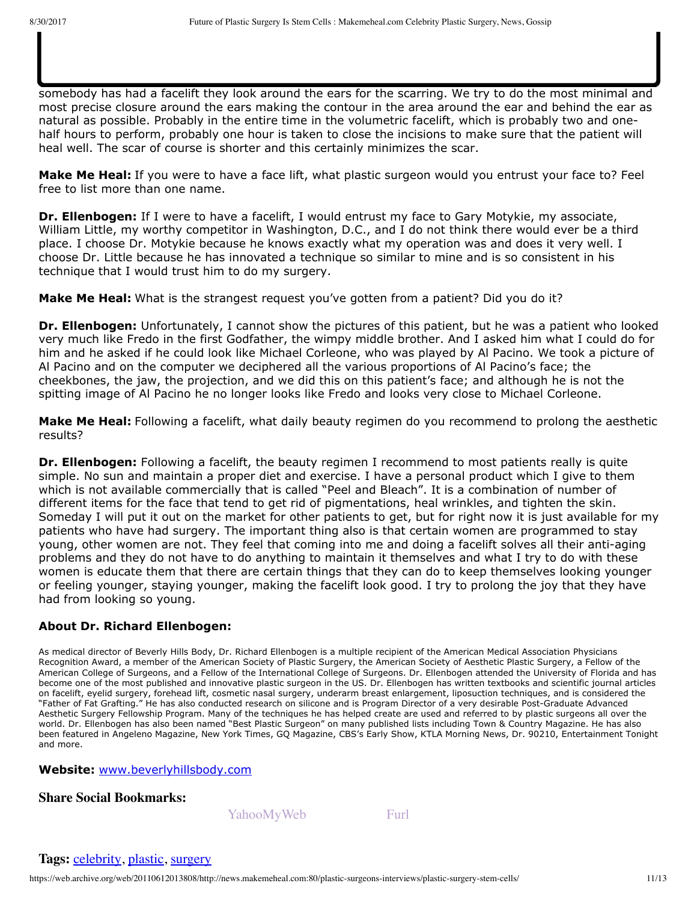patients?

somebody has had a facelift they look around the ears for the scarring. We try to do the most minimal and most precise closure around the ears making the contour in the area around the ear and behind the ear as natural as possible. Probably in the entire time in the volumetric facelift, which is probably two and onehalf hours to perform, probably one hour is taken to close the incisions to make sure that the patient will heal well. The scar of course is shorter and this certainly minimizes the scar.

**Dr. Ellenbogen:** Very little in the operation that I do. We realize that when somebody wants to find out if

**Make Me Heal:** How much scarring is caused by a facelift? What do you do to minimize scars in your

**Make Me Heal:** If you were to have a face lift, what plastic surgeon would you entrust your face to? Feel free to list more than one name.

**Dr. Ellenbogen:** If I were to have a facelift, I would entrust my face to Gary Motykie, my associate, William Little, my worthy competitor in Washington, D.C., and I do not think there would ever be a third place. I choose Dr. Motykie because he knows exactly what my operation was and does it very well. I choose Dr. Little because he has innovated a technique so similar to mine and is so consistent in his technique that I would trust him to do my surgery.

**Make Me Heal:** What is the strangest request you've gotten from a patient? Did you do it?

**Dr. Ellenbogen:** Unfortunately, I cannot show the pictures of this patient, but he was a patient who looked very much like Fredo in the first Godfather, the wimpy middle brother. And I asked him what I could do for him and he asked if he could look like Michael Corleone, who was played by Al Pacino. We took a picture of Al Pacino and on the computer we deciphered all the various proportions of Al Pacino's face; the cheekbones, the jaw, the projection, and we did this on this patient's face; and although he is not the spitting image of Al Pacino he no longer looks like Fredo and looks very close to Michael Corleone.

**Make Me Heal:** Following a facelift, what daily beauty regimen do you recommend to prolong the aesthetic results?

**Dr. Ellenbogen:** Following a facelift, the beauty regimen I recommend to most patients really is quite simple. No sun and maintain a proper diet and exercise. I have a personal product which I give to them which is not available commercially that is called "Peel and Bleach". It is a combination of number of different items for the face that tend to get rid of pigmentations, heal wrinkles, and tighten the skin. Someday I will put it out on the market for other patients to get, but for right now it is just available for my patients who have had surgery. The important thing also is that certain women are programmed to stay young, other women are not. They feel that coming into me and doing a facelift solves all their anti-aging problems and they do not have to do anything to maintain it themselves and what I try to do with these women is educate them that there are certain things that they can do to keep themselves looking younger or feeling younger, staying younger, making the facelift look good. I try to prolong the joy that they have had from looking so young.

### **About Dr. Richard Ellenbogen:**

As medical director of Beverly Hills Body, Dr. Richard Ellenbogen is a multiple recipient of the American Medical Association Physicians Recognition Award, a member of the American Society of Plastic Surgery, the American Society of Aesthetic Plastic Surgery, a Fellow of the American College of Surgeons, and a Fellow of the International College of Surgeons. Dr. Ellenbogen attended the University of Florida and has become one of the most published and innovative plastic surgeon in the US. Dr. Ellenbogen has written textbooks and scientific journal articles on facelift, eyelid surgery, forehead lift, cosmetic nasal surgery, underarm breast enlargement, liposuction techniques, and is considered the "Father of Fat Grafting." He has also conducted research on silicone and is Program Director of a very desirable Post-Graduate Advanced Aesthetic Surgery Fellowship Program. Many of the techniques he has helped create are used and referred to by plastic surgeons all over the world. Dr. Ellenbogen has also been named "Best Plastic Surgeon" on many published lists including Town & Country Magazine. He has also been featured in Angeleno Magazine, New York Times, GQ Magazine, CBS's Early Show, KTLA Morning News, Dr. 90210, Entertainment Tonight and more.

**Website:** [www.beverlyhillsbody.com](https://web.archive.org/web/20110612013808/http://www.beverlyhillsbody.com/)

**[Sh](https://web.archive.org/web/20110612013808/http://digg.com/submit?phase=2&url=http%3A%2F%2Fnews.makemeheal.com%2Fplastic-surgeons-interviews%2Fplastic-surgery-stem-cells%2F&title=Future%20of%20Plastic%20Surgery%20Is%20Stem%20Cells&bodytext=The%20future%20of%20plastic%20surgery%20according%20to%20renowned%20plastic%20surgeon%20Richard%20Ellenbogen%2C%20M.D.%20will%20be%20all%20about%20injecting%20stem%20cells%20into%20the%20target%20body%20areas%20and%20procedures%20will%20have%20no%20scalpers%20or%20scars%20and%20require%20no%20surgical%20operations.%20But%20you%27r)[are](https://web.archive.org/web/20110612013808/http://technorati.com/faves?add=http%3A%2F%2Fnews.makemeheal.com%2Fplastic-surgeons-interviews%2Fplastic-surgery-stem-cells%2F) [So](https://web.archive.org/web/20110612013808/http://delicious.com/post?url=http%3A%2F%2Fnews.makemeheal.com%2Fplastic-surgeons-interviews%2Fplastic-surgery-stem-cells%2F&title=Future%20of%20Plastic%20Surgery%20Is%20Stem%20Cells¬es=The%20future%20of%20plastic%20surgery%20according%20to%20renowned%20plastic%20surgeon%20Richard%20Ellenbogen%2C%20M.D.%20will%20be%20all%20about%20injecting%20stem%20cells%20into%20the%20target%20body%20areas%20and%20procedures%20will%20have%20no%20scalpers%20or%20scars%20and%20require%20no%20surgical%20operations.%20But%20you%27r)[cial](https://web.archive.org/web/20110612013808/http://www.facebook.com/share.php?u=http%3A%2F%2Fnews.makemeheal.com%2Fplastic-surgeons-interviews%2Fplastic-surgery-stem-cells%2F&t=Future%20of%20Plastic%20Surgery%20Is%20Stem%20Cells) [Bo](https://web.archive.org/web/20110612013808/http://www.google.com/bookmarks/mark?op=edit&bkmk=http%3A%2F%2Fnews.makemeheal.com%2Fplastic-surgeons-interviews%2Fplastic-surgery-stem-cells%2F&title=Future%20of%20Plastic%20Surgery%20Is%20Stem%20Cells&annotation=The%20future%20of%20plastic%20surgery%20according%20to%20renowned%20plastic%20surgeon%20Richard%20Ellenbogen%2C%20M.D.%20will%20be%20all%20about%20injecting%20stem%20cells%20into%20the%20target%20body%20areas%20and%20procedures%20will%20have%20no%20scalpers%20or%20scars%20and%20require%20no%20surgical%20operations.%20But%20you%27r)[ok](https://web.archive.org/web/20110612013808/http://www.stumbleupon.com/submit?url=http%3A%2F%2Fnews.makemeheal.com%2Fplastic-surgeons-interviews%2Fplastic-surgery-stem-cells%2F&title=Future%20of%20Plastic%20Surgery%20Is%20Stem%20Cells)[mar](https://web.archive.org/web/20110612013808/http://www.propeller.com/submit/?url=http%3A%2F%2Fnews.makemeheal.com%2Fplastic-surgeons-interviews%2Fplastic-surgery-stem-cells%2F)[ks:](https://web.archive.org/web/20110612013808/http://reddit.com/submit?url=http%3A%2F%2Fnews.makemeheal.com%2Fplastic-surgeons-interviews%2Fplastic-surgery-stem-cells%2F&title=Future%20of%20Plastic%20Surgery%20Is%20Stem%20Cells)**

[YahooMyWeb](https://web.archive.org/web/20110612013808/http://news.makemeheal.com:80/plastic-surgeons-interviews/plastic-surgery-stem-cells/) [Furl](https://web.archive.org/web/20110612013808/http://news.makemeheal.com:80/plastic-surgeons-interviews/plastic-surgery-stem-cells/)

### **Tags:** [celebrity,](https://web.archive.org/web/20110612013808/http://news.makemeheal.com/tag/celebrity) [plastic,](https://web.archive.org/web/20110612013808/http://news.makemeheal.com/tag/plastic) [surgery](https://web.archive.org/web/20110612013808/http://news.makemeheal.com/tag/surgery)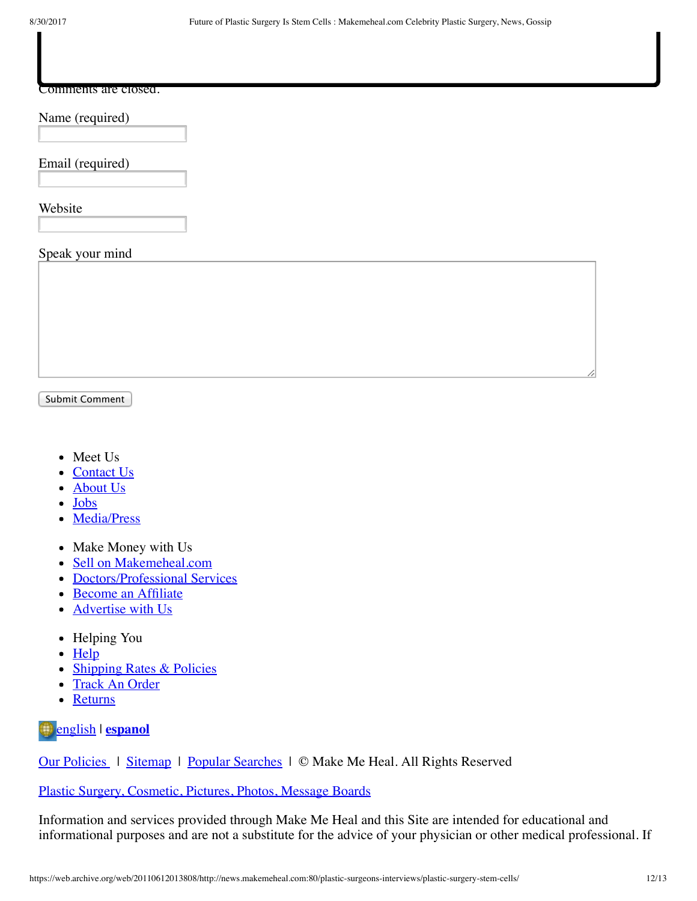#### Comments are closed.

**Comments**

### Name (required)

Email (required)

Website

#### Speak your mind

Submit Comment

- Meet Us
- [Contact Us](https://web.archive.org/web/20110612013808/http://www.makemeheal.com/contactus)
- [About Us](https://web.archive.org/web/20110612013808/http://www.makemeheal.com/mmh/aboutmakemeheal.vm)  $\bullet$
- [Jobs](https://web.archive.org/web/20110612013808/http://www.makemeheal.com/mmh/jobs/index.vm)
- [Media/Press](https://web.archive.org/web/20110612013808/http://www.makemeheal.com/mmh/press/index.vm)  $\bullet$
- Make Money with Us
- [Sell on Makemeheal.com](https://web.archive.org/web/20110612013808/http://www.makemeheal.com/sell)  $\bullet$
- [Doctors/Professional Services](https://web.archive.org/web/20110612013808/http://www.makemeheal.com/directory/profcenter)
- [Become an Affiliate](https://web.archive.org/web/20110612013808/http://www.makemeheal.com/affiliates)
- [Advertise with Us](https://web.archive.org/web/20110612013808/http://www.makemeheal.com/mmh/advertising/index.vm)
- Helping You
- $\bullet$  [Help](https://web.archive.org/web/20110612013808/http://www.makemeheal.com/mmh/help/index.vm)
- [Shipping Rates & Policies](https://web.archive.org/web/20110612013808/http://www.makemeheal.com/mmh/help/shipping/index.vm)
- [Track An Order](https://web.archive.org/web/20110612013808/http://www.makemeheal.com/track)
- [Returns](https://web.archive.org/web/20110612013808/http://www.makemeheal.com/mmh/returnpolicy.vm)

[english](https://web.archive.org/web/20110612013808/http://www.makemeheal.com/) | **[espanol](https://web.archive.org/web/20110612013808/http://espanol.makemeheal.com/)**

Our Policies | [Sitemap](https://web.archive.org/web/20110612013808/http://news.makemeheal.com:80/mmh/sitemap.vm) | [Popular Searches](https://web.archive.org/web/20110612013808/http://search.makemeheal.com/) | © Make Me Heal. All Rights Reserved

[Plastic Surgery, Cosmetic, Pictures, Photos, Message Boards](https://web.archive.org/web/20110612013808/http://www.makemeheal.com/)

Information and services provided through Make Me Heal and this Site are intended for educational and informational purposes and are not a substitute for the advice of your physician or other medical professional. If